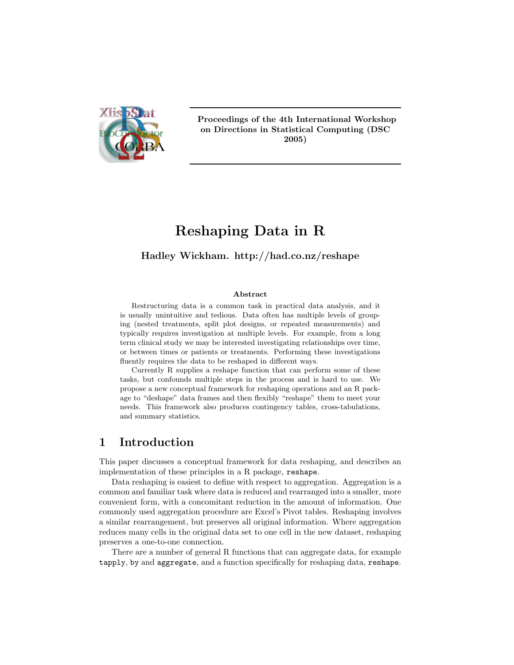

Proceedings of the 4th International Workshop on Directions in Statistical Computing (DSC 2005)

# Reshaping Data in R

### Hadley Wickham. http://had.co.nz/reshape

#### Abstract

Restructuring data is a common task in practical data analysis, and it is usually unintuitive and tedious. Data often has multiple levels of grouping (nested treatments, split plot designs, or repeated measurements) and typically requires investigation at multiple levels. For example, from a long term clinical study we may be interested investigating relationships over time, or between times or patients or treatments. Performing these investigations fluently requires the data to be reshaped in different ways.

Currently R supplies a reshape function that can perform some of these tasks, but confounds multiple steps in the process and is hard to use. We propose a new conceptual framework for reshaping operations and an R package to "deshape" data frames and then flexibly "reshape" them to meet your needs. This framework also produces contingency tables, cross-tabulations, and summary statistics.

### 1 Introduction

This paper discusses a conceptual framework for data reshaping, and describes an implementation of these principles in a R package, reshape.

Data reshaping is easiest to define with respect to aggregation. Aggregation is a common and familiar task where data is reduced and rearranged into a smaller, more convenient form, with a concomitant reduction in the amount of information. One commonly used aggregation procedure are Excel's Pivot tables. Reshaping involves a similar rearrangement, but preserves all original information. Where aggregation reduces many cells in the original data set to one cell in the new dataset, reshaping preserves a one-to-one connection.

There are a number of general R functions that can aggregate data, for example tapply, by and aggregate, and a function specifically for reshaping data, reshape.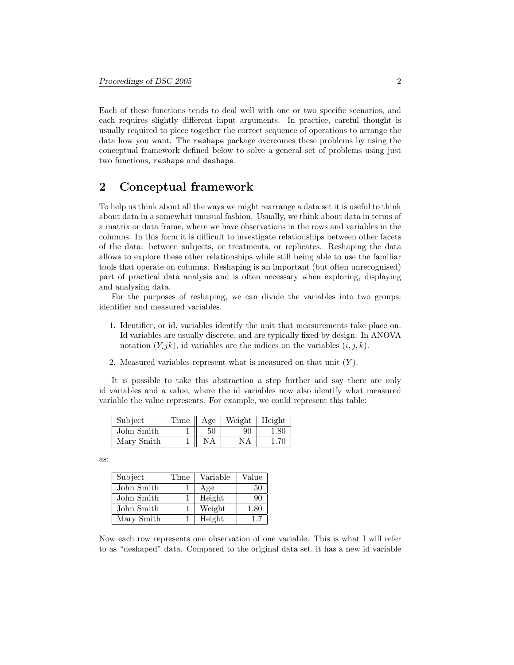Each of these functions tends to deal well with one or two specific scenarios, and each requires slightly different input arguments. In practice, careful thought is usually required to piece together the correct sequence of operations to arrange the data how you want. The reshape package overcomes these problems by using the conceptual framework defined below to solve a general set of problems using just two functions, reshape and deshape.

# 2 Conceptual framework

To help us think about all the ways we might rearrange a data set it is useful to think about data in a somewhat unusual fashion. Usually, we think about data in terms of a matrix or data frame, where we have observations in the rows and variables in the columns. In this form it is difficult to investigate relationships between other facets of the data: between subjects, or treatments, or replicates. Reshaping the data allows to explore these other relationships while still being able to use the familiar tools that operate on columns. Reshaping is an important (but often unrecognised) part of practical data analysis and is often necessary when exploring, displaying and analysing data.

For the purposes of reshaping, we can divide the variables into two groups: identifier and measured variables.

- 1. Identifier, or id, variables identify the unit that measurements take place on. Id variables are usually discrete, and are typically fixed by design. In ANOVA notation  $(Y_ijk)$ , id variables are the indices on the variables  $(i, j, k)$ .
- 2. Measured variables represent what is measured on that unit  $(Y)$ .

It is possible to take this abstraction a step further and say there are only id variables and a value, where the id variables now also identify what measured variable the value represents. For example, we could represent this table:

| Subject    | Time | Age | Weight | Height |
|------------|------|-----|--------|--------|
| John Smith |      | 50  | 90     | 1.80   |
| Mary Smith |      | NΑ  | NΑ     | 1.70   |

as:

| Subject    | Time | Variable | Value |
|------------|------|----------|-------|
| John Smith |      | Age      | 50    |
| John Smith |      | Height   | 90    |
| John Smith |      | Weight   | 1.80  |
| Mary Smith |      | Height   | 1.7   |

Now each row represents one observation of one variable. This is what I will refer to as "deshaped" data. Compared to the original data set, it has a new id variable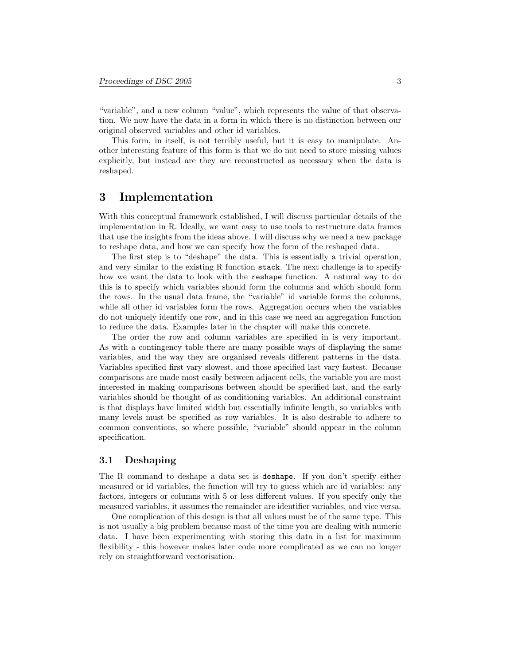"variable", and a new column "value", which represents the value of that observation. We now have the data in a form in which there is no distinction between our original observed variables and other id variables.

This form, in itself, is not terribly useful, but it is easy to manipulate. Another interesting feature of this form is that we do not need to store missing values explicitly, but instead are they are reconstructed as necessary when the data is reshaped.

### 3 Implementation

With this conceptual framework established, I will discuss particular details of the implementation in R. Ideally, we want easy to use tools to restructure data frames that use the insights from the ideas above. I will discuss why we need a new package to reshape data, and how we can specify how the form of the reshaped data.

The first step is to "deshape" the data. This is essentially a trivial operation, and very similar to the existing R function stack. The next challenge is to specify how we want the data to look with the reshape function. A natural way to do this is to specify which variables should form the columns and which should form the rows. In the usual data frame, the "variable" id variable forms the columns, while all other id variables form the rows. Aggregation occurs when the variables do not uniquely identify one row, and in this case we need an aggregation function to reduce the data. Examples later in the chapter will make this concrete.

The order the row and column variables are specified in is very important. As with a contingency table there are many possible ways of displaying the same variables, and the way they are organised reveals different patterns in the data. Variables specified first vary slowest, and those specified last vary fastest. Because comparisons are made most easily between adjacent cells, the variable you are most interested in making comparisons between should be specified last, and the early variables should be thought of as conditioning variables. An additional constraint is that displays have limited width but essentially infinite length, so variables with many levels must be specified as row variables. It is also desirable to adhere to common conventions, so where possible, "variable" should appear in the column specification.

#### 3.1 Deshaping

The R command to deshape a data set is deshape. If you don't specify either measured or id variables, the function will try to guess which are id variables: any factors, integers or columns with 5 or less different values. If you specify only the measured variables, it assumes the remainder are identifier variables, and vice versa.

One complication of this design is that all values must be of the same type. This is not usually a big problem because most of the time you are dealing with numeric data. I have been experimenting with storing this data in a list for maximum flexibility - this however makes later code more complicated as we can no longer rely on straightforward vectorisation.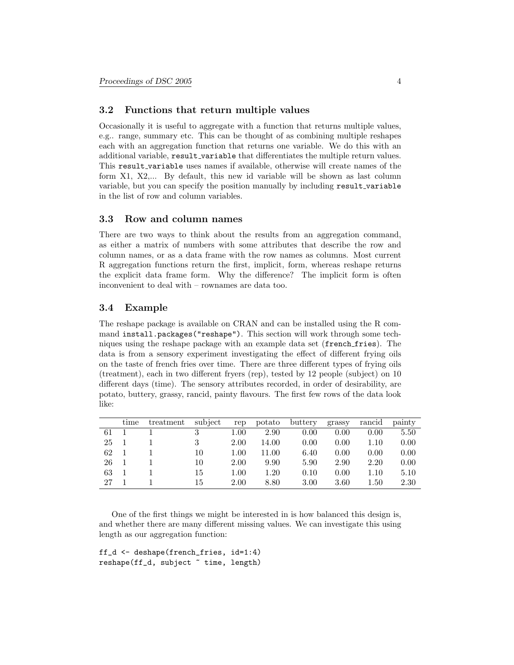#### 3.2 Functions that return multiple values

Occasionally it is useful to aggregate with a function that returns multiple values, e.g.. range, summary etc. This can be thought of as combining multiple reshapes each with an aggregation function that returns one variable. We do this with an additional variable, result\_variable that differentiates the multiple return values. This result variable uses names if available, otherwise will create names of the form X1, X2,... By default, this new id variable will be shown as last column variable, but you can specify the position manually by including result\_variable in the list of row and column variables.

#### 3.3 Row and column names

There are two ways to think about the results from an aggregation command, as either a matrix of numbers with some attributes that describe the row and column names, or as a data frame with the row names as columns. Most current R aggregation functions return the first, implicit, form, whereas reshape returns the explicit data frame form. Why the difference? The implicit form is often inconvenient to deal with – rownames are data too.

#### 3.4 Example

The reshape package is available on CRAN and can be installed using the R command install.packages("reshape"). This section will work through some techniques using the reshape package with an example data set (french fries). The data is from a sensory experiment investigating the effect of different frying oils on the taste of french fries over time. There are three different types of frying oils (treatment), each in two different fryers (rep), tested by 12 people (subject) on 10 different days (time). The sensory attributes recorded, in order of desirability, are potato, buttery, grassy, rancid, painty flavours. The first few rows of the data look like:

|    | time | treatment | subject | rep  | potato | buttery | grassy | rancid | painty |
|----|------|-----------|---------|------|--------|---------|--------|--------|--------|
| 61 |      |           | 3       | 1.00 | 2.90   | 0.00    | 0.00   | 0.00   | 5.50   |
| 25 |      |           | 3       | 2.00 | 14.00  | 0.00    | 0.00   | 1.10   | 0.00   |
| 62 |      |           | 10      | 1.00 | 11.00  | 6.40    | 0.00   | 0.00   | 0.00   |
| 26 |      |           | 10      | 2.00 | 9.90   | 5.90    | 2.90   | 2.20   | 0.00   |
| 63 |      |           | 15      | 1.00 | 1.20   | 0.10    | 0.00   | 1.10   | 5.10   |
| 27 |      |           | 15      | 2.00 | 8.80   | 3.00    | 3.60   | 1.50   | 2.30   |

One of the first things we might be interested in is how balanced this design is, and whether there are many different missing values. We can investigate this using length as our aggregation function:

ff\_d <- deshape(french\_fries, id=1:4) reshape(ff\_d, subject ~ time, length)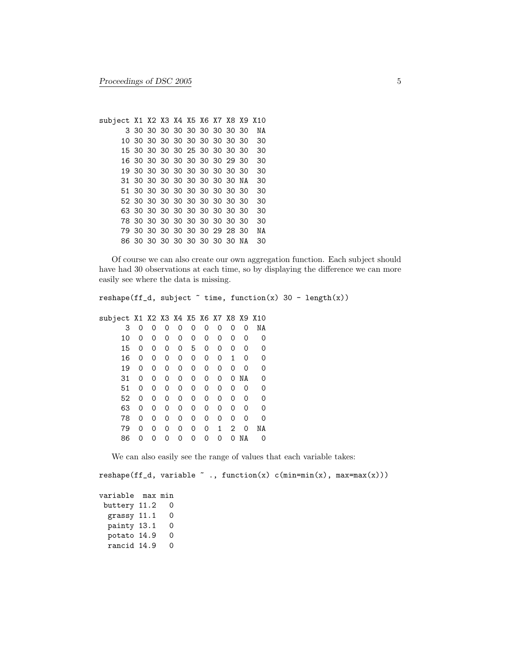```
subject X1 X2 X3 X4 X5 X6 X7 X8 X9 X10
     3 30 30 30 30 30 30 30 30 30 NA
    10 30 30 30 30 30 30 30 30 30 30
    15 30 30 30 30 25 30 30 30 30 30
    16 30 30 30 30 30 30 30 29 30 30
    19 30 30 30 30 30 30 30 30 30 30
    31 30 30 30 30 30 30 30 30 NA 30
    51 30 30 30 30 30 30 30 30 30 30
    52 30 30 30 30 30 30 30 30 30 30
    63 30 30 30 30 30 30 30 30 30 30
    78 30 30 30 30 30 30 30 30 30 30
    79 30 30 30 30 30 30 29 28 30 NA
    86 30 30 30 30 30 30 30 30 NA 30
```
Of course we can also create our own aggregation function. Each subject should have had 30 observations at each time, so by displaying the difference we can more easily see where the data is missing.

```
reshape(ff_d, subject \tilde{ } time, function(x) 30 - length(x))
subject X1 X2 X3 X4 X5 X6 X7 X8 X9 X10
    3 0 0 0 0 0 0 0 0 0 NA
    10 0 0 0 0 0 0 0 0 0 0
    15 0 0 0 0 5 0 0 0 0 0
    16 0 0 0 0 0 0 0 1 0 0
    19 0 0 0 0 0 0 0 0 0 0
   31 0 0 0 0 0 0 0 0 NA 0
    51 0 0 0 0 0 0 0 0 0 0
    52 0 0 0 0 0 0 0 0 0 0
    63 0 0 0 0 0 0 0 0 0 0
    78 0 0 0 0 0 0 0 0 0 0
   79 0 0 0 0 0 0 1 2 0 NA
   86 0 0 0 0 0 0 0 0 NA 0
```
We can also easily see the range of values that each variable takes:

```
reshape(ff_d, variable " ., function(x) c(min=min(x), max=max(x)))variable max min
buttery 11.2 0
 grassy 11.1 0
 painty 13.1 0
 potato 14.9 0
 rancid 14.9 0
```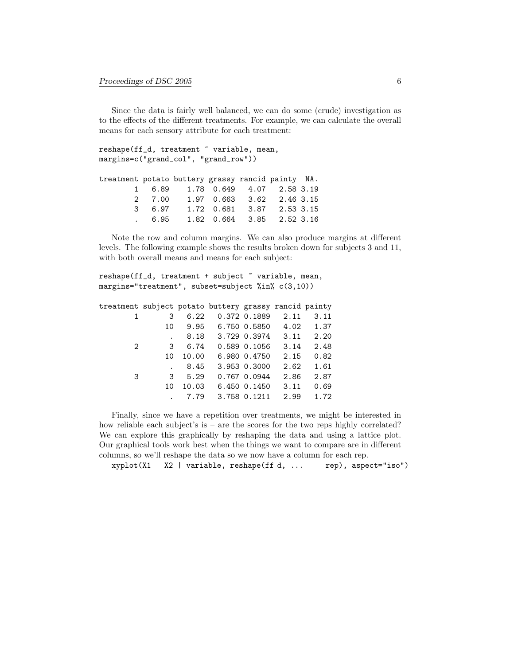Since the data is fairly well balanced, we can do some (crude) investigation as to the effects of the different treatments. For example, we can calculate the overall means for each sensory attribute for each treatment:

reshape(ff\_d, treatment ~ variable, mean, margins=c("grand\_col", "grand\_row"))

| treatment potato buttery grassy rancid painty NA. |                                            |  |  |
|---------------------------------------------------|--------------------------------------------|--|--|
|                                                   | 1 6.89 1.78 0.649 4.07 2.58 3.19           |  |  |
|                                                   | 2 7.00 1.97 0.663 3.62 2.46 3.15           |  |  |
|                                                   | 3 6.97 1.72 0.681 3.87 2.53 3.15           |  |  |
|                                                   | $6.95$ $1.82$ $0.664$ $3.85$ $2.52$ $3.16$ |  |  |

Note the row and column margins. We can also produce margins at different levels. The following example shows the results broken down for subjects 3 and 11, with both overall means and means for each subject:

| reshape(ff_d, treatment + subject " variable, mean, |  |  |  |  |
|-----------------------------------------------------|--|--|--|--|
| margins="treatment", subset=subject %in% c(3,10))   |  |  |  |  |

| treatment subject potato buttery grassy rancid painty |    |      |                          |              |      |      |
|-------------------------------------------------------|----|------|--------------------------|--------------|------|------|
|                                                       | 3  | 6.22 |                          | 0.372 0.1889 | 2.11 | 3.11 |
|                                                       | 10 |      | $9.95$ 6.750 0.5850 4.02 |              |      | 1.37 |
|                                                       |    |      | 8.18 3.729 0.3974        |              | 3.11 | 2.20 |
| 2                                                     | 3  | 6.74 |                          | 0.589 0.1056 | 3.14 | 2.48 |
|                                                       | 10 |      | 10.00 6.980 0.4750       |              | 2.15 | 0.82 |
|                                                       |    | 8.45 |                          | 3.953 0.3000 | 2.62 | 1.61 |
| 3                                                     | 3  | 5.29 |                          | 0.767 0.0944 | 2.86 | 2.87 |
|                                                       | 10 |      | 10.03 6.450 0.1450       |              | 3.11 | 0.69 |
|                                                       |    | 7.79 |                          | 3.758 0.1211 | 2.99 | 1.72 |

Finally, since we have a repetition over treatments, we might be interested in how reliable each subject's is – are the scores for the two reps highly correlated? We can explore this graphically by reshaping the data and using a lattice plot. Our graphical tools work best when the things we want to compare are in different columns, so we'll reshape the data so we now have a column for each rep.

xyplot(X1 X2 | variable, reshape(ff\_d, ... rep), aspect="iso")